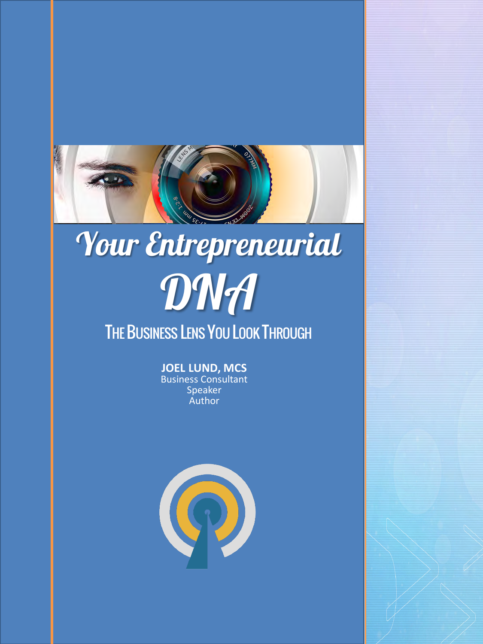

## ÷. Your Entrepreneurial DNA THE BUSINESS LENS YOU LOOK THROUGH

**JOEL LUND, MCS** Business Consultant Speaker Author

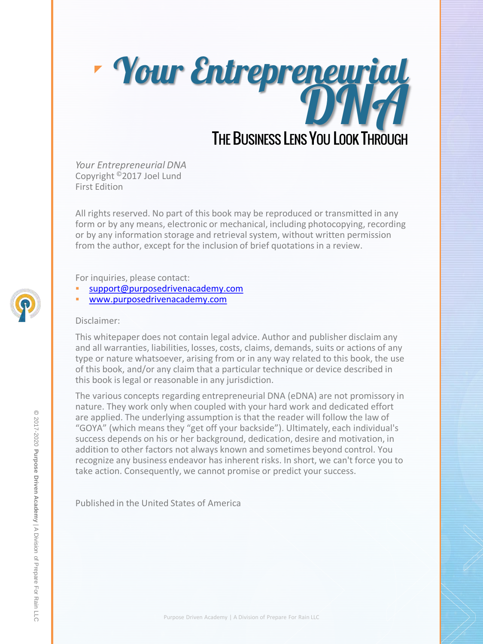

*Your Entrepreneurial DNA* Copyright <sup>o</sup>2017 Joel Lund First Edition

All rights reserved. No part of this book may be reproduced or transmitted in any form or by any means, electronic or mechanical, including photocopying, recording or by any information storage and retrieval system, without written permission from the author, except for the inclusion of brief quotations in a review.

For inquiries, please contact:

- [support@purposedrivenacademy.com](mailto:support@purposedrivenacademy.com)
- [www.purposedrivenacademy.com](http://www.acceleratorlaunchpad.com/)

#### Disclaimer:

This whitepaper does not contain legal advice. Author and publisher disclaim any and all warranties, liabilities, losses, costs, claims, demands, suits or actions of any type or nature whatsoever, arising from or in any way related to this book, the use of this book, and/or any claim that a particular technique or device described in this book is legal or reasonable in any jurisdiction.

The various concepts regarding entrepreneurial DNA (eDNA) are not promissory in nature. They work only when coupled with your hard work and dedicated effort are applied. The underlying assumption is that the reader will follow the law of "GOYA" (which means they "get off your backside"). Ultimately, each individual's success depends on his or her background, dedication, desire and motivation, in addition to other factors not always known and sometimes beyond control. You recognize any business endeavor has inherent risks. In short, we can't force you to take action. Consequently, we cannot promise or predict your success.

Published in the United States of America

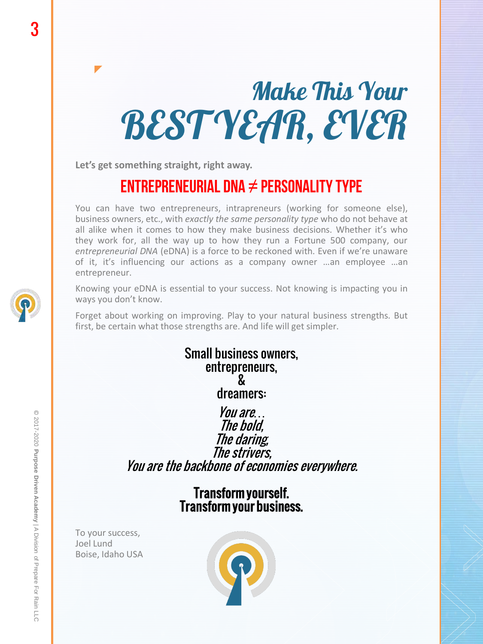# Make This Your BEST YEAR, EVER

**Let's get something straight, right away.**

## ENTREPRENEURIAL DNA  $\neq$  PERSONALITY TYPE

You can have two entrepreneurs, intrapreneurs (working for someone else), business owners, etc., with *exactly the same personality type* who do not behave at all alike when it comes to how they make business decisions. Whether it's who they work for, all the way up to how they run a Fortune 500 company, our *entrepreneurial DNA* (eDNA) is a force to be reckoned with. Even if we're unaware of it, it's influencing our actions as a company owner …an employee …an entrepreneur.

Knowing your eDNA is essential to your success. Not knowing is impacting you in ways you don't know.

Forget about working on improving. Play to your natural business strengths. But first, be certain what those strengths are. And life will get simpler.

> Small business owners, entrepreneurs, & dreamers: You are*…* The bold, The daring, The strivers,

You are the backbone of economies everywhere.

Transform yourself. Transform your business.

To your success, Joel Lund Boise, Idaho USA

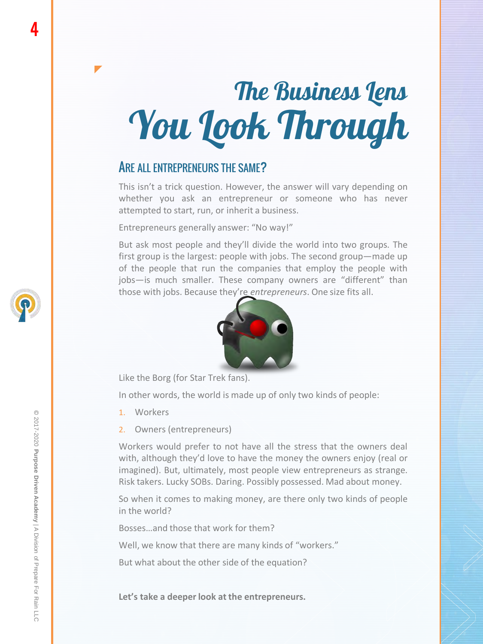# The Business Lens You Look Through

#### ARE ALL ENTREPRENEURS THE SAME?

 $\blacktriangledown$ 

This isn't a trick question. However, the answer will vary depending on whether you ask an entrepreneur or someone who has never attempted to start, run, or inherit a business.

Entrepreneurs generally answer: "No way!"

But ask most people and they'll divide the world into two groups. The first group is the largest: people with jobs. The second group—made up of the people that run the companies that employ the people with jobs—is much smaller. These company owners are "different" than those with jobs. Because they're *entrepreneurs*. One size fits all.



Like the Borg (for Star Trek fans).

In other words, the world is made up of only two kinds of people:

- 1. Workers
- 2. Owners (entrepreneurs)

Workers would prefer to not have all the stress that the owners deal with, although they'd love to have the money the owners enjoy (real or imagined). But, ultimately, most people view entrepreneurs as strange. Risk takers. Lucky SOBs. Daring. Possibly possessed. Mad about money.

So when it comes to making money, are there only two kinds of people in the world?

Bosses…and those that work for them?

Well, we know that there are many kinds of "workers."

But what about the other side of the equation?

**Let's take a deeper look at the entrepreneurs.**

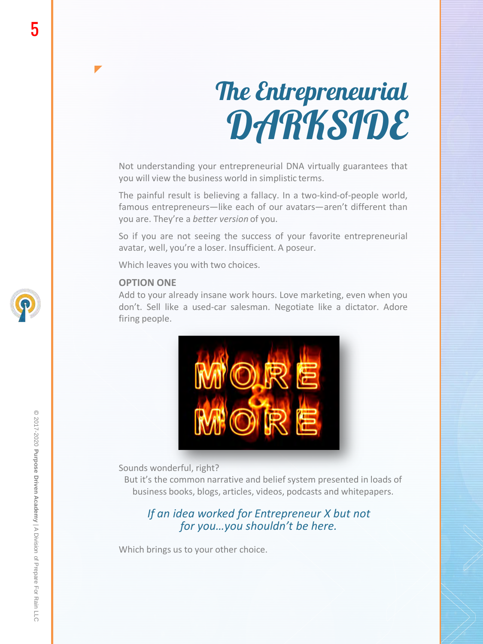# The Entrepreneurial DARKSIDE

Not understanding your entrepreneurial DNA virtually guarantees that you will view the business world in simplistic terms.

The painful result is believing a fallacy. In a two-kind-of-people world, famous entrepreneurs—like each of our avatars—aren't different than you are. They're a *better version* of you.

So if you are not seeing the success of your favorite entrepreneurial avatar, well, you're a loser. Insufficient. A poseur.

Which leaves you with two choices.

#### **OPTION ONE**

 $\blacktriangledown$ 

Add to your already insane work hours. Love marketing, even when you don't. Sell like a used-car salesman. Negotiate like a dictator. Adore firing people.



Sounds wonderful, right?

But it's the common narrative and belief system presented in loads of business books, blogs, articles, videos, podcasts and whitepapers.

#### *If an idea worked for Entrepreneur X but not for you…you shouldn't be here.*

Which brings us to your other choice.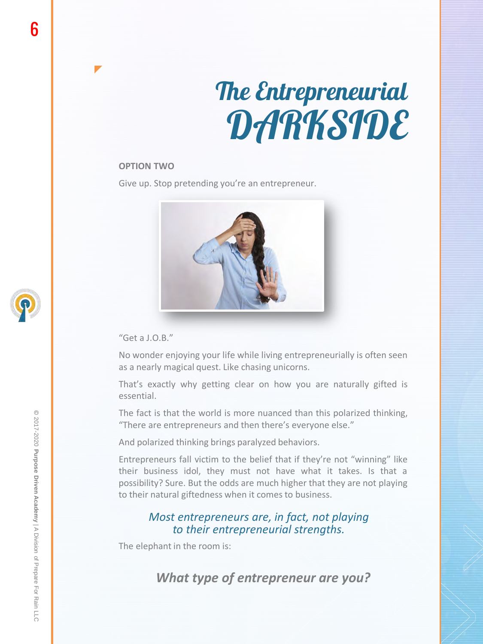# The Entrepreneurial DARKSIDE

#### **OPTION TWO**

 $\blacktriangledown$ 

Give up. Stop pretending you're an entrepreneur.



"Get a J.O.B."

No wonder enjoying your life while living entrepreneurially is often seen as a nearly magical quest. Like chasing unicorns.

That's exactly why getting clear on how you are naturally gifted is essential.

The fact is that the world is more nuanced than this polarized thinking, "There are entrepreneurs and then there's everyone else."

And polarized thinking brings paralyzed behaviors.

Entrepreneurs fall victim to the belief that if they're not "winning" like their business idol, they must not have what it takes. Is that a possibility? Sure. But the odds are much higher that they are not playing to their natural giftedness when it comes to business.

#### *Most entrepreneurs are, in fact, not playing to their entrepreneurial strengths.*

The elephant in the room is:

*What type of entrepreneur are you?*

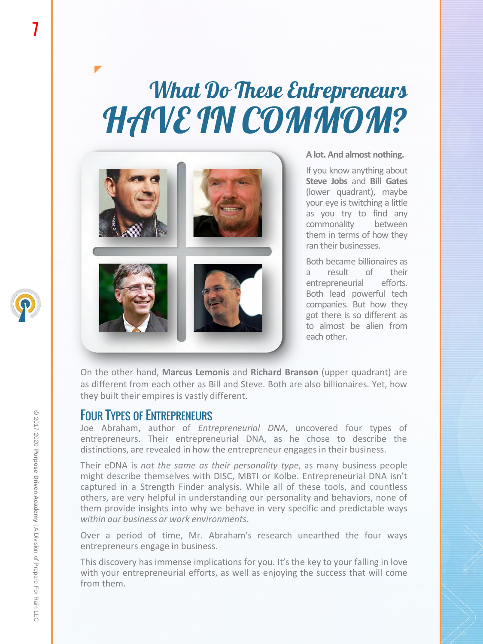## What Do These Entrepreneurs HAVE IN COMMOM?



#### **A lot. And almost nothing.**

If you know anything about **Steve Jobs** and **Bill Gates** (lower quadrant), maybe your eye is twitching a little as you try to find any commonality between them in terms of how they ran their businesses.

Both became billionaires as a result of their entrepreneurial efforts. Both lead powerful tech companies. But how they got there is so different as to almost be alien from each other.

On the other hand, **Marcus Lemonis** and **Richard Branson** (upper quadrant) are as different from each other as Bill and Steve. Both are also billionaires. Yet, how they built their empires is vastly different.

#### FOUR TYPES OF ENTREPRENEURS

Joe Abraham, author of *Entrepreneurial DNA*, uncovered four types of entrepreneurs. Their entrepreneurial DNA, as he chose to describe the distinctions, are revealed in how the entrepreneur engages in their business.

Their eDNA is *not the same as their personality type*, as many business people might describe themselves with DISC, MBTI or Kolbe. Entrepreneurial DNA isn't captured in a Strength Finder analysis. While all of these tools, and countless others, are very helpful in understanding our personality and behaviors, none of them provide insights into why we behave in very specific and predictable ways *within our business or work environments*.

Over a period of time, Mr. Abraham's research unearthed the four ways entrepreneurs engage in business.

This discovery has immense implications for you. It's the key to your falling in love with your entrepreneurial efforts, as well as enjoying the success that will come from them.

7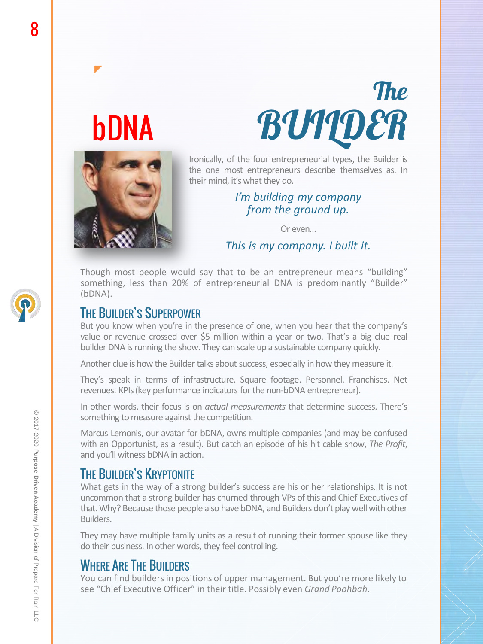# bDNA

 $\blacktriangledown$ 



Ironically, of the four entrepreneurial types, the Builder is the one most entrepreneurs describe themselves as. In their mind, it's what they do.

#### *I'm building my company from the ground up.*

Or even…

*This is my company. I built it.*

Though most people would say that to be an entrepreneur means "building" something, less than 20% of entrepreneurial DNA is predominantly "Builder" (bDNA).

### THE BUILDER'S SUPERPOWER

But you know when you're in the presence of one, when you hear that the company's value or revenue crossed over \$5 million within a year or two. That's a big clue real builder DNA is running the show. They can scale up a sustainable company quickly.

Another clue is how the Builder talks about success, especially in how they measure it.

They's speak in terms of infrastructure. Square footage. Personnel. Franchises. Net revenues. KPIs (key performance indicators for the non-bDNA entrepreneur).

In other words, their focus is on *actual measurements* that determine success. There's something to measure against the competition.

Marcus Lemonis, our avatar for bDNA, owns multiple companies (and may be confused with an Opportunist, as a result). But catch an episode of his hit cable show, *The Profit*, and you'll witness bDNA in action.

## THE BUILDER'S KRYPTONITE

What gets in the way of a strong builder's success are his or her relationships. It is not uncommon that a strong builder has churned through VPs of this and Chief Executives of that. Why? Because those people also have bDNA, and Builders don't play well with other Builders.

They may have multiple family units as a result of running their former spouse like they do their business. In other words, they feel controlling.

### WHERE ARE THE BUILDERS

You can find builders in positions of upper management. But you're more likely to see "Chief Executive Officer" in their title. Possibly even *Grand Poohbah*.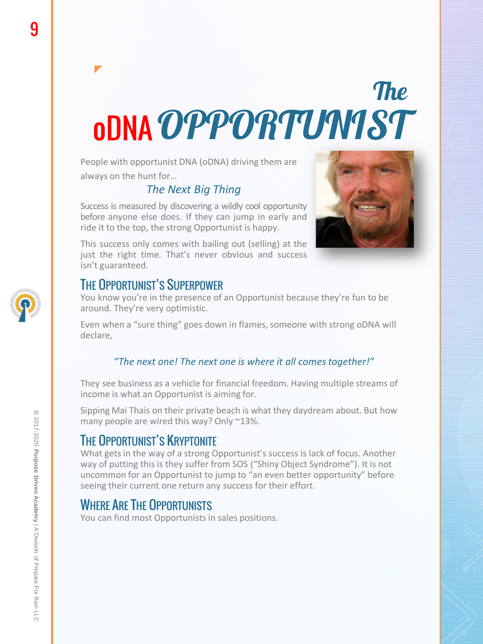# **The** oDNA OPPORTUMIST

People with opportunist DNA (oDNA) driving them are always on the hunt for…

#### *The Next Big Thing*

Success is measured by discovering a wildly cool opportunity before anyone else does. If they can jump in early and ride it to the top, the strong Opportunist is happy.



This success only comes with bailing out (selling) at the just the right time. That's never obvious and success isn't guaranteed.

### THE OPPORTUNIST'S SUPERPOWER

You know you're in the presence of an Opportunist because they're fun to be around. They're very optimistic.

Even when a "sure thing" goes down in flames, someone with strong oDNA will declare,

#### *"The next one! The next one is where it all comes together!"*

They see business as a vehicle for financial freedom. Having multiple streams of income is what an Opportunist is aiming for.

Sipping Mai Thais on their private beach is what they daydream about. But how many people are wired this way? Only ~13%.

## THE OPPORTUNIST'S KRYPTONITE

What gets in the way of a strong Opportunist's success is lack of focus. Another way of putting this is they suffer from SOS ("Shiny Object Syndrome"). It is not uncommon for an Opportunist to jump to "an even better opportunity" before seeing their current one return any success for their effort.

#### WHERE ARE THE OPPORTUNISTS

You can find most Opportunists in sales positions.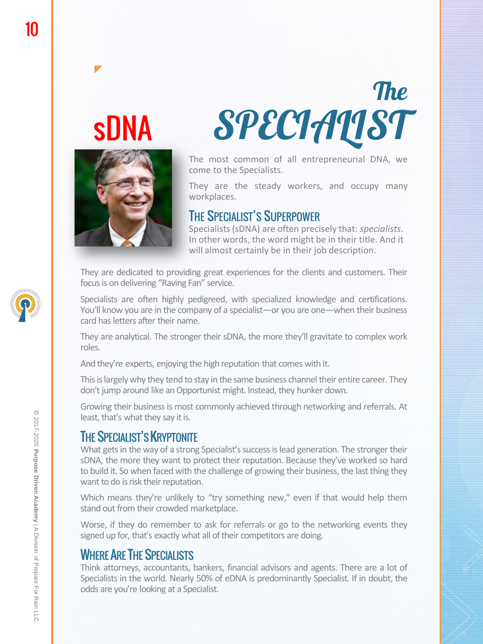# sDNA

 $\blacktriangledown$ 



**The SPECIALIST** 

The most common of all entrepreneurial DNA, we come to the Specialists.

They are the steady workers, and occupy many workplaces.

#### THE SPECIALIST'S SUPERPOWER

Specialists (sDNA) are often precisely that: *specialists*. In other words, the word might be in their title. And it will almost certainly be in their job description.

They are dedicated to providing great experiences for the clients and customers. Their focus is on delivering "Raving Fan" service.

Specialists are often highly pedigreed, with specialized knowledge and certifications. You'll know you are in the company of a specialist—or you are one—when their business card has letters after their name.

They are analytical. The stronger their sDNA, the more they'll gravitate to complex work roles.

And they're experts, enjoying the high reputation that comes with it.

This is largely why they tend to stay in the same business channel their entire career. They don't jump around like an Opportunist might. Instead, they hunker down.

Growing their businessis most commonly achieved through networking and referrals. At least, that's what they say it is.

#### THE SPECIALIST'S **KRYPTONITE**

What gets in the way of a strong Specialist's success is lead generation. The stronger their sDNA, the more they want to protect their reputation. Because they've worked so hard to build it. So when faced with the challenge of growing their business, the last thing they want to do is risk their reputation.

Which means they're unlikely to "try something new," even if that would help them stand out from their crowded marketplace.

Worse, if they do remember to ask for referrals or go to the networking events they signed up for, that's exactly what all of their competitors are doing.

### WHERE ARE THE SPECIALISTS

Think attorneys, accountants, bankers, financial advisors and agents. There are a lot of Specialists in the world. Nearly 50% of eDNA is predominantly Specialist. If in doubt, the odds are you're looking at a Specialist.

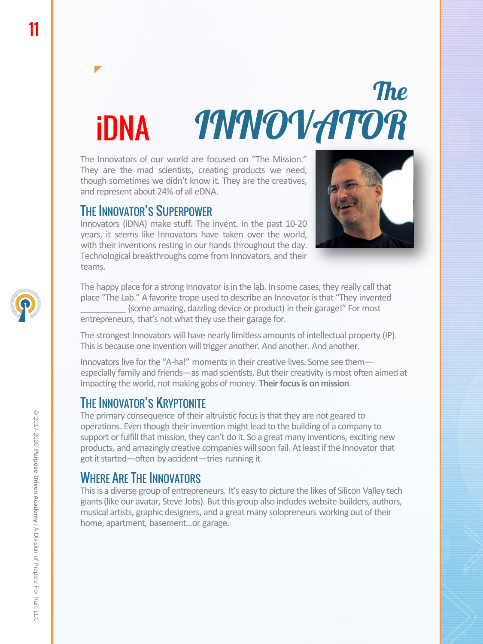# **The** INNOVATOR

The Innovators of our world are focused on "The Mission." They are the mad scientists, creating products we need, though sometimes we didn't know it. They are the creatives, and represent about 24% of all eDNA.

#### THE INNOVATOR'S SUPERPOWER

 $\blacktriangledown$ 

iDNA

Innovators (iDNA) make stuff. The invent. In the past 10-20 years, it seems like Innovators have taken over the world, with their inventions resting in our hands throughout the day. Technological breakthroughs come from Innovators, and their teams.



The happy place for a strong Innovator is in the lab. In some cases, they really call that place "The Lab." A favorite trope used to describe an Innovator is that "They invented \_\_\_\_\_\_\_\_\_\_ (some amazing, dazzling device or product) in their garage!" For most entrepreneurs, that's not what they use their garage for.

The strongest Innovators will have nearly limitless amounts of intellectual property (IP). This is because one invention will trigger another. And another. And another.

Innovators live for the "A-ha!" moments in their creative lives. Some see them especially family and friends—as mad scientists. But their creativity is most often aimed at impacting the world, not making gobs of money. **Their focus is on mission**.

#### THE INNOVATOR'S KRYPTONITE

The primary consequence of their altruistic focus is that they are not geared to operations. Even though their invention might lead to the building of a company to support or fulfill that mission, they can't do it. So a great many inventions, exciting new products, and amazingly creative companies will soon fail. At least if the Innovator that got it started—often by accident—tries running it.

#### WHERE ARE THE INNOVATORS

This is a diverse group of entrepreneurs. It's easy to picture the likes of Silicon Valley tech giants (like our avatar, Steve Jobs). But this group also includes website builders, authors, musical artists, graphic designers, and a great many solopreneurs working out of their home, apartment, basement…or garage.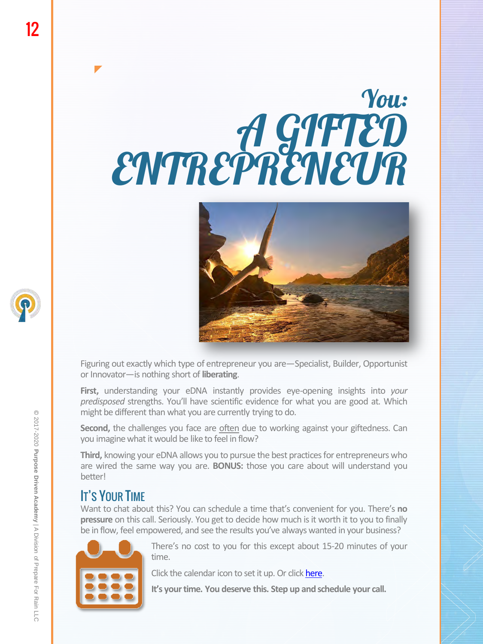# You: A GIFTED ENTREPRENEUR



Figuring out exactly which type of entrepreneur you are—Specialist, Builder, Opportunist or Innovator—is nothing short of **liberating**.

**First,** understanding your eDNA instantly provides eye-opening insights into *your predisposed* strengths. You'll have scientific evidence for what you are good at. Which might be different than what you are currently trying to do.

**Second,** the challenges you face are often due to working against your giftedness. Can you imagine what it would be like to feel in flow?

**Third,** knowing your eDNA allows you to pursue the best practices for entrepreneurs who are wired the same way you are. **BONUS:** those you care about will understand you better!

#### IT'S YOUR TIME

Want to chat about this? You can schedule a time that's convenient for you. There's **no pressure** on this call. Seriously. You get to decide how much is it worth it to you to finally be in flow, feel empowered, and see the results you've always wanted in your business?



There's no cost to you for this except about 15-20 minutes of your [t](https://live.vcita.com/site/prepareforrain/online-scheduling?service=v38c17qx9p6d4x7m)ime.

Click the calendar icon to set it up. Or click [here](https://live.vcita.com/site/prepareforrain/online-scheduling?service=v38c17qx9p6d4x7m).

**It's yourtime. You deserve this. Step up and schedule your call.**